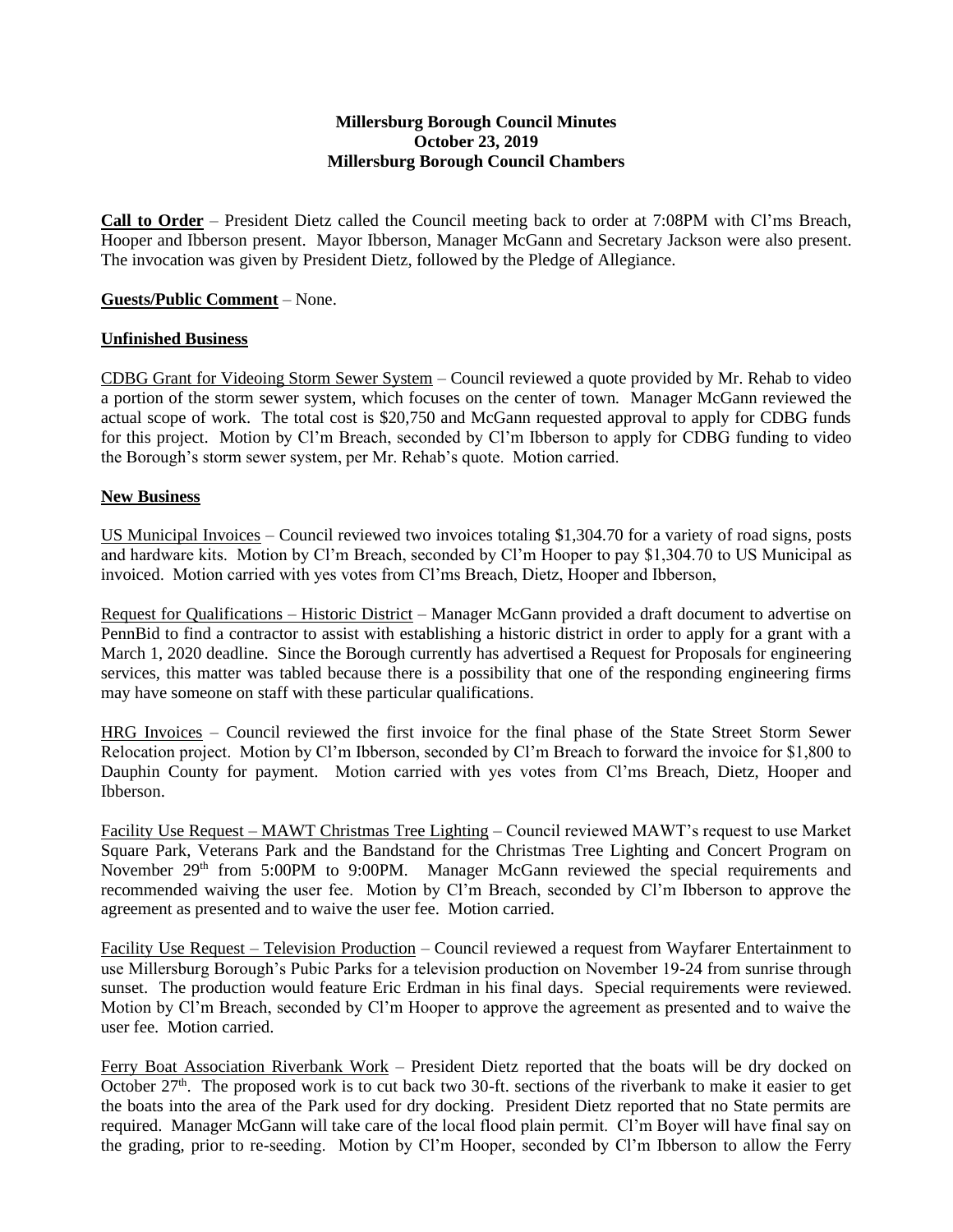## **Millersburg Borough Council Minutes October 23, 2019 Millersburg Borough Council Chambers**

**Call to Order** – President Dietz called the Council meeting back to order at 7:08PM with Cl'ms Breach, Hooper and Ibberson present. Mayor Ibberson, Manager McGann and Secretary Jackson were also present. The invocation was given by President Dietz, followed by the Pledge of Allegiance.

## **Guests/Public Comment** – None.

## **Unfinished Business**

CDBG Grant for Videoing Storm Sewer System – Council reviewed a quote provided by Mr. Rehab to video a portion of the storm sewer system, which focuses on the center of town. Manager McGann reviewed the actual scope of work. The total cost is \$20,750 and McGann requested approval to apply for CDBG funds for this project. Motion by Cl'm Breach, seconded by Cl'm Ibberson to apply for CDBG funding to video the Borough's storm sewer system, per Mr. Rehab's quote. Motion carried.

## **New Business**

US Municipal Invoices – Council reviewed two invoices totaling \$1,304.70 for a variety of road signs, posts and hardware kits. Motion by Cl'm Breach, seconded by Cl'm Hooper to pay \$1,304.70 to US Municipal as invoiced. Motion carried with yes votes from Cl'ms Breach, Dietz, Hooper and Ibberson,

Request for Qualifications – Historic District – Manager McGann provided a draft document to advertise on PennBid to find a contractor to assist with establishing a historic district in order to apply for a grant with a March 1, 2020 deadline. Since the Borough currently has advertised a Request for Proposals for engineering services, this matter was tabled because there is a possibility that one of the responding engineering firms may have someone on staff with these particular qualifications.

HRG Invoices – Council reviewed the first invoice for the final phase of the State Street Storm Sewer Relocation project. Motion by Cl'm Ibberson, seconded by Cl'm Breach to forward the invoice for \$1,800 to Dauphin County for payment. Motion carried with yes votes from Cl'ms Breach, Dietz, Hooper and Ibberson.

Facility Use Request – MAWT Christmas Tree Lighting – Council reviewed MAWT's request to use Market Square Park, Veterans Park and the Bandstand for the Christmas Tree Lighting and Concert Program on November 29<sup>th</sup> from 5:00PM to 9:00PM. Manager McGann reviewed the special requirements and recommended waiving the user fee. Motion by Cl'm Breach, seconded by Cl'm Ibberson to approve the agreement as presented and to waive the user fee. Motion carried.

Facility Use Request – Television Production – Council reviewed a request from Wayfarer Entertainment to use Millersburg Borough's Pubic Parks for a television production on November 19-24 from sunrise through sunset. The production would feature Eric Erdman in his final days. Special requirements were reviewed. Motion by Cl'm Breach, seconded by Cl'm Hooper to approve the agreement as presented and to waive the user fee. Motion carried.

Ferry Boat Association Riverbank Work – President Dietz reported that the boats will be dry docked on October 27<sup>th</sup>. The proposed work is to cut back two 30-ft. sections of the riverbank to make it easier to get the boats into the area of the Park used for dry docking. President Dietz reported that no State permits are required. Manager McGann will take care of the local flood plain permit. Cl'm Boyer will have final say on the grading, prior to re-seeding. Motion by Cl'm Hooper, seconded by Cl'm Ibberson to allow the Ferry